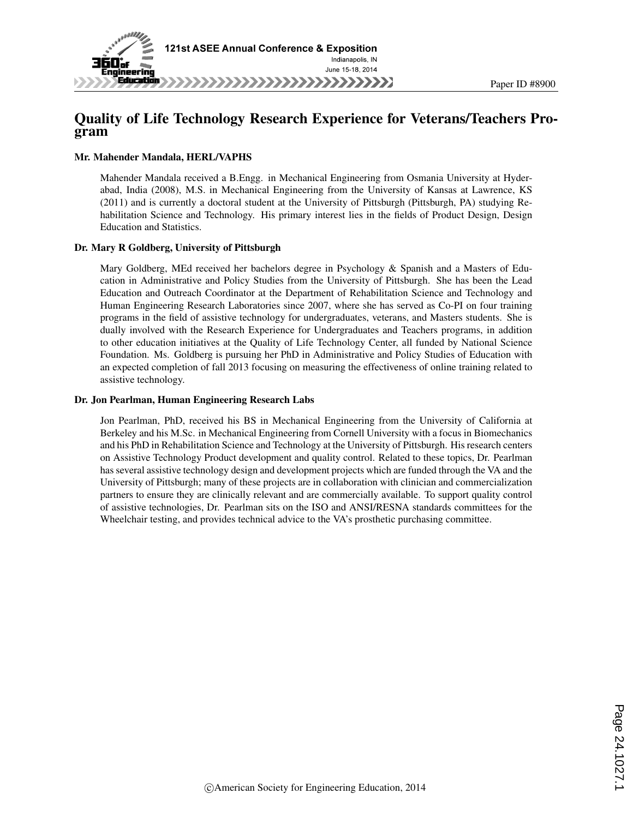

## Quality of Life Technology Research Experience for Veterans/Teachers Program

#### Mr. Mahender Mandala, HERL/VAPHS

Mahender Mandala received a B.Engg. in Mechanical Engineering from Osmania University at Hyderabad, India (2008), M.S. in Mechanical Engineering from the University of Kansas at Lawrence, KS (2011) and is currently a doctoral student at the University of Pittsburgh (Pittsburgh, PA) studying Rehabilitation Science and Technology. His primary interest lies in the fields of Product Design, Design Education and Statistics.

#### Dr. Mary R Goldberg, University of Pittsburgh

Mary Goldberg, MEd received her bachelors degree in Psychology & Spanish and a Masters of Education in Administrative and Policy Studies from the University of Pittsburgh. She has been the Lead Education and Outreach Coordinator at the Department of Rehabilitation Science and Technology and Human Engineering Research Laboratories since 2007, where she has served as Co-PI on four training programs in the field of assistive technology for undergraduates, veterans, and Masters students. She is dually involved with the Research Experience for Undergraduates and Teachers programs, in addition to other education initiatives at the Quality of Life Technology Center, all funded by National Science Foundation. Ms. Goldberg is pursuing her PhD in Administrative and Policy Studies of Education with an expected completion of fall 2013 focusing on measuring the effectiveness of online training related to assistive technology.

#### Dr. Jon Pearlman, Human Engineering Research Labs

Jon Pearlman, PhD, received his BS in Mechanical Engineering from the University of California at Berkeley and his M.Sc. in Mechanical Engineering from Cornell University with a focus in Biomechanics and his PhD in Rehabilitation Science and Technology at the University of Pittsburgh. His research centers on Assistive Technology Product development and quality control. Related to these topics, Dr. Pearlman has several assistive technology design and development projects which are funded through the VA and the University of Pittsburgh; many of these projects are in collaboration with clinician and commercialization partners to ensure they are clinically relevant and are commercially available. To support quality control of assistive technologies, Dr. Pearlman sits on the ISO and ANSI/RESNA standards committees for the Wheelchair testing, and provides technical advice to the VA's prosthetic purchasing committee.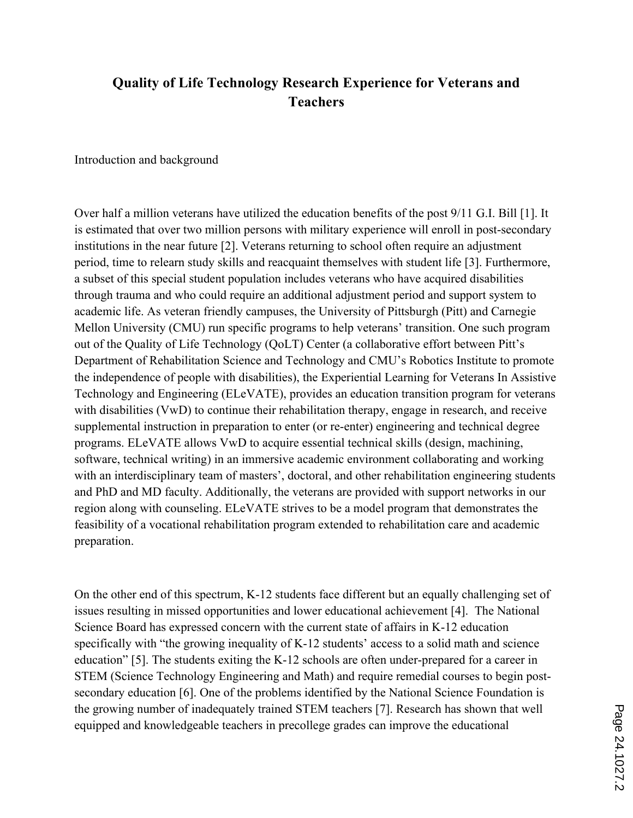# **Quality of Life Technology Research Experience for Veterans and Teachers**

Introduction and background

Over half a million veterans have utilized the education benefits of the post 9/11 G.I. Bill [1]. It is estimated that over two million persons with military experience will enroll in post-secondary institutions in the near future [2]. Veterans returning to school often require an adjustment period, time to relearn study skills and reacquaint themselves with student life [3]. Furthermore, a subset of this special student population includes veterans who have acquired disabilities through trauma and who could require an additional adjustment period and support system to academic life. As veteran friendly campuses, the University of Pittsburgh (Pitt) and Carnegie Mellon University (CMU) run specific programs to help veterans' transition. One such program out of the Quality of Life Technology (QoLT) Center (a collaborative effort between Pitt's Department of Rehabilitation Science and Technology and CMU's Robotics Institute to promote the independence of people with disabilities), the Experiential Learning for Veterans In Assistive Technology and Engineering (ELeVATE), provides an education transition program for veterans with disabilities (VwD) to continue their rehabilitation therapy, engage in research, and receive supplemental instruction in preparation to enter (or re-enter) engineering and technical degree programs. ELeVATE allows VwD to acquire essential technical skills (design, machining, software, technical writing) in an immersive academic environment collaborating and working with an interdisciplinary team of masters', doctoral, and other rehabilitation engineering students and PhD and MD faculty. Additionally, the veterans are provided with support networks in our region along with counseling. ELeVATE strives to be a model program that demonstrates the feasibility of a vocational rehabilitation program extended to rehabilitation care and academic preparation.

On the other end of this spectrum, K-12 students face different but an equally challenging set of issues resulting in missed opportunities and lower educational achievement [4]. The National Science Board has expressed concern with the current state of affairs in K-12 education specifically with "the growing inequality of K-12 students' access to a solid math and science education" [5]. The students exiting the K-12 schools are often under-prepared for a career in STEM (Science Technology Engineering and Math) and require remedial courses to begin postsecondary education [6]. One of the problems identified by the National Science Foundation is the growing number of inadequately trained STEM teachers [7]. Research has shown that well equipped and knowledgeable teachers in precollege grades can improve the educational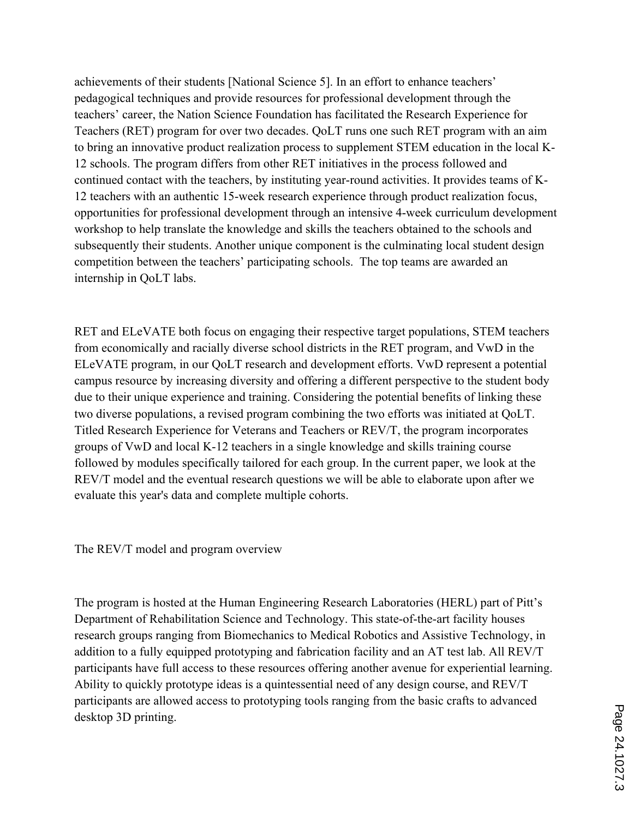achievements of their students [National Science 5]. In an effort to enhance teachers' pedagogical techniques and provide resources for professional development through the teachers' career, the Nation Science Foundation has facilitated the Research Experience for Teachers (RET) program for over two decades. QoLT runs one such RET program with an aim to bring an innovative product realization process to supplement STEM education in the local K-12 schools. The program differs from other RET initiatives in the process followed and continued contact with the teachers, by instituting year-round activities. It provides teams of K-12 teachers with an authentic 15-week research experience through product realization focus, opportunities for professional development through an intensive 4-week curriculum development workshop to help translate the knowledge and skills the teachers obtained to the schools and subsequently their students. Another unique component is the culminating local student design competition between the teachers' participating schools. The top teams are awarded an internship in QoLT labs.

RET and ELeVATE both focus on engaging their respective target populations, STEM teachers from economically and racially diverse school districts in the RET program, and VwD in the ELeVATE program, in our QoLT research and development efforts. VwD represent a potential campus resource by increasing diversity and offering a different perspective to the student body due to their unique experience and training. Considering the potential benefits of linking these two diverse populations, a revised program combining the two efforts was initiated at QoLT. Titled Research Experience for Veterans and Teachers or REV/T, the program incorporates groups of VwD and local K-12 teachers in a single knowledge and skills training course followed by modules specifically tailored for each group. In the current paper, we look at the REV/T model and the eventual research questions we will be able to elaborate upon after we evaluate this year's data and complete multiple cohorts.

The REV/T model and program overview

The program is hosted at the Human Engineering Research Laboratories (HERL) part of Pitt's Department of Rehabilitation Science and Technology. This state-of-the-art facility houses research groups ranging from Biomechanics to Medical Robotics and Assistive Technology, in addition to a fully equipped prototyping and fabrication facility and an AT test lab. All REV/T participants have full access to these resources offering another avenue for experiential learning. Ability to quickly prototype ideas is a quintessential need of any design course, and REV/T participants are allowed access to prototyping tools ranging from the basic crafts to advanced desktop 3D printing.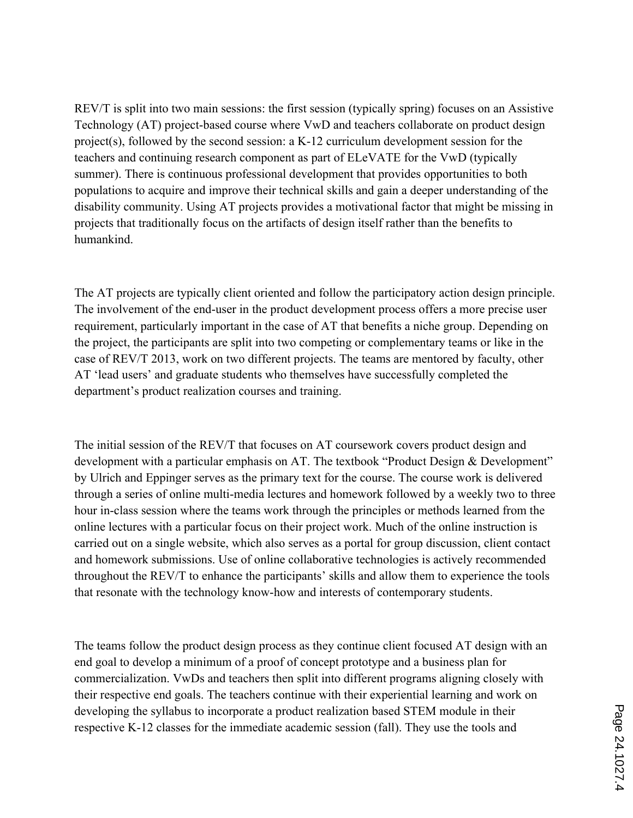REV/T is split into two main sessions: the first session (typically spring) focuses on an Assistive Technology (AT) project-based course where VwD and teachers collaborate on product design project(s), followed by the second session: a K-12 curriculum development session for the teachers and continuing research component as part of ELeVATE for the VwD (typically summer). There is continuous professional development that provides opportunities to both populations to acquire and improve their technical skills and gain a deeper understanding of the disability community. Using AT projects provides a motivational factor that might be missing in projects that traditionally focus on the artifacts of design itself rather than the benefits to humankind.

The AT projects are typically client oriented and follow the participatory action design principle. The involvement of the end-user in the product development process offers a more precise user requirement, particularly important in the case of AT that benefits a niche group. Depending on the project, the participants are split into two competing or complementary teams or like in the case of REV/T 2013, work on two different projects. The teams are mentored by faculty, other AT 'lead users' and graduate students who themselves have successfully completed the department's product realization courses and training.

The initial session of the REV/T that focuses on AT coursework covers product design and development with a particular emphasis on AT. The textbook "Product Design & Development" by Ulrich and Eppinger serves as the primary text for the course. The course work is delivered through a series of online multi-media lectures and homework followed by a weekly two to three hour in-class session where the teams work through the principles or methods learned from the online lectures with a particular focus on their project work. Much of the online instruction is carried out on a single website, which also serves as a portal for group discussion, client contact and homework submissions. Use of online collaborative technologies is actively recommended throughout the REV/T to enhance the participants' skills and allow them to experience the tools that resonate with the technology know-how and interests of contemporary students.

The teams follow the product design process as they continue client focused AT design with an end goal to develop a minimum of a proof of concept prototype and a business plan for commercialization. VwDs and teachers then split into different programs aligning closely with their respective end goals. The teachers continue with their experiential learning and work on developing the syllabus to incorporate a product realization based STEM module in their respective K-12 classes for the immediate academic session (fall). They use the tools and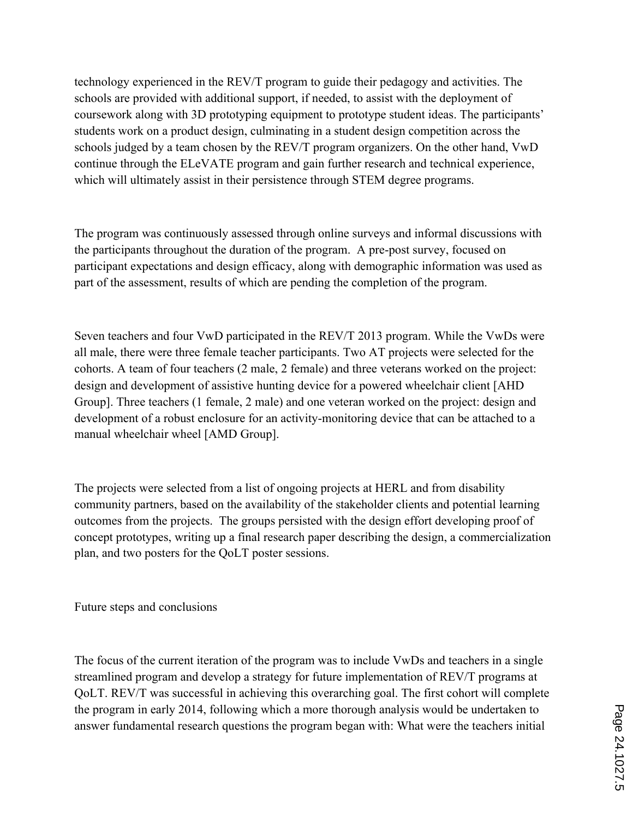technology experienced in the REV/T program to guide their pedagogy and activities. The schools are provided with additional support, if needed, to assist with the deployment of coursework along with 3D prototyping equipment to prototype student ideas. The participants' students work on a product design, culminating in a student design competition across the schools judged by a team chosen by the REV/T program organizers. On the other hand, VwD continue through the ELeVATE program and gain further research and technical experience, which will ultimately assist in their persistence through STEM degree programs.

The program was continuously assessed through online surveys and informal discussions with the participants throughout the duration of the program. A pre-post survey, focused on participant expectations and design efficacy, along with demographic information was used as part of the assessment, results of which are pending the completion of the program.

Seven teachers and four VwD participated in the REV/T 2013 program. While the VwDs were all male, there were three female teacher participants. Two AT projects were selected for the cohorts. A team of four teachers (2 male, 2 female) and three veterans worked on the project: design and development of assistive hunting device for a powered wheelchair client [AHD Group]. Three teachers (1 female, 2 male) and one veteran worked on the project: design and development of a robust enclosure for an activity-monitoring device that can be attached to a manual wheelchair wheel [AMD Group].

The projects were selected from a list of ongoing projects at HERL and from disability community partners, based on the availability of the stakeholder clients and potential learning outcomes from the projects. The groups persisted with the design effort developing proof of concept prototypes, writing up a final research paper describing the design, a commercialization plan, and two posters for the QoLT poster sessions.

Future steps and conclusions

The focus of the current iteration of the program was to include VwDs and teachers in a single streamlined program and develop a strategy for future implementation of REV/T programs at QoLT. REV/T was successful in achieving this overarching goal. The first cohort will complete the program in early 2014, following which a more thorough analysis would be undertaken to answer fundamental research questions the program began with: What were the teachers initial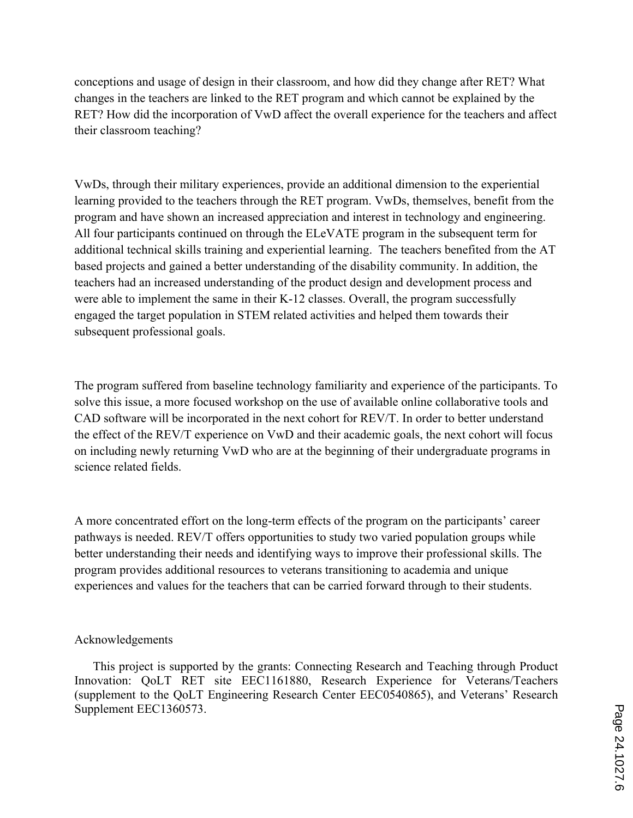conceptions and usage of design in their classroom, and how did they change after RET? What changes in the teachers are linked to the RET program and which cannot be explained by the RET? How did the incorporation of VwD affect the overall experience for the teachers and affect their classroom teaching?

VwDs, through their military experiences, provide an additional dimension to the experiential learning provided to the teachers through the RET program. VwDs, themselves, benefit from the program and have shown an increased appreciation and interest in technology and engineering. All four participants continued on through the ELeVATE program in the subsequent term for additional technical skills training and experiential learning. The teachers benefited from the AT based projects and gained a better understanding of the disability community. In addition, the teachers had an increased understanding of the product design and development process and were able to implement the same in their K-12 classes. Overall, the program successfully engaged the target population in STEM related activities and helped them towards their subsequent professional goals.

The program suffered from baseline technology familiarity and experience of the participants. To solve this issue, a more focused workshop on the use of available online collaborative tools and CAD software will be incorporated in the next cohort for REV/T. In order to better understand the effect of the REV/T experience on VwD and their academic goals, the next cohort will focus on including newly returning VwD who are at the beginning of their undergraduate programs in science related fields.

A more concentrated effort on the long-term effects of the program on the participants' career pathways is needed. REV/T offers opportunities to study two varied population groups while better understanding their needs and identifying ways to improve their professional skills. The program provides additional resources to veterans transitioning to academia and unique experiences and values for the teachers that can be carried forward through to their students.

## Acknowledgements

This project is supported by the grants: Connecting Research and Teaching through Product Innovation: QoLT RET site EEC1161880, Research Experience for Veterans/Teachers (supplement to the QoLT Engineering Research Center EEC0540865), and Veterans' Research Supplement EEC1360573.